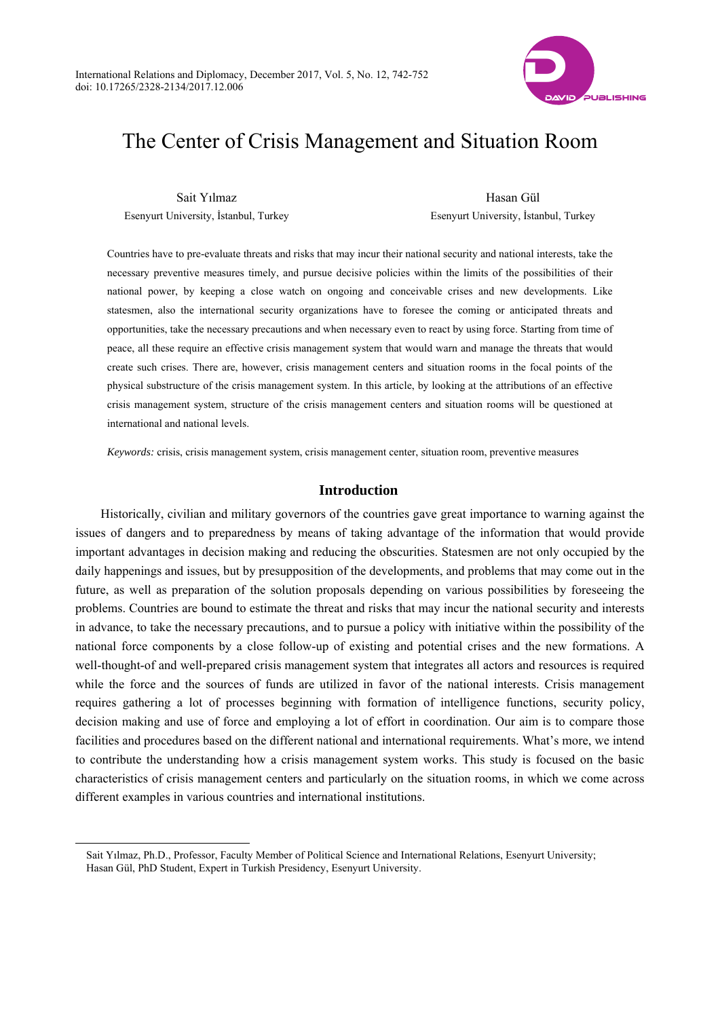

# The Center of Crisis Management and Situation Room

Sait Yılmaz Esenyurt University, İstanbul, Turkey

 $\overline{a}$ 

Hasan Gül Esenyurt University, İstanbul, Turkey

Countries have to pre-evaluate threats and risks that may incur their national security and national interests, take the necessary preventive measures timely, and pursue decisive policies within the limits of the possibilities of their national power, by keeping a close watch on ongoing and conceivable crises and new developments. Like statesmen, also the international security organizations have to foresee the coming or anticipated threats and opportunities, take the necessary precautions and when necessary even to react by using force. Starting from time of peace, all these require an effective crisis management system that would warn and manage the threats that would create such crises. There are, however, crisis management centers and situation rooms in the focal points of the physical substructure of the crisis management system. In this article, by looking at the attributions of an effective crisis management system, structure of the crisis management centers and situation rooms will be questioned at international and national levels.

*Keywords:* crisis, crisis management system, crisis management center, situation room, preventive measures

## **Introduction**

Historically, civilian and military governors of the countries gave great importance to warning against the issues of dangers and to preparedness by means of taking advantage of the information that would provide important advantages in decision making and reducing the obscurities. Statesmen are not only occupied by the daily happenings and issues, but by presupposition of the developments, and problems that may come out in the future, as well as preparation of the solution proposals depending on various possibilities by foreseeing the problems. Countries are bound to estimate the threat and risks that may incur the national security and interests in advance, to take the necessary precautions, and to pursue a policy with initiative within the possibility of the national force components by a close follow-up of existing and potential crises and the new formations. A well-thought-of and well-prepared crisis management system that integrates all actors and resources is required while the force and the sources of funds are utilized in favor of the national interests. Crisis management requires gathering a lot of processes beginning with formation of intelligence functions, security policy, decision making and use of force and employing a lot of effort in coordination. Our aim is to compare those facilities and procedures based on the different national and international requirements. What's more, we intend to contribute the understanding how a crisis management system works. This study is focused on the basic characteristics of crisis management centers and particularly on the situation rooms, in which we come across different examples in various countries and international institutions.

Sait Yılmaz, Ph.D., Professor, Faculty Member of Political Science and International Relations, Esenyurt University; Hasan Gül, PhD Student, Expert in Turkish Presidency, Esenyurt University.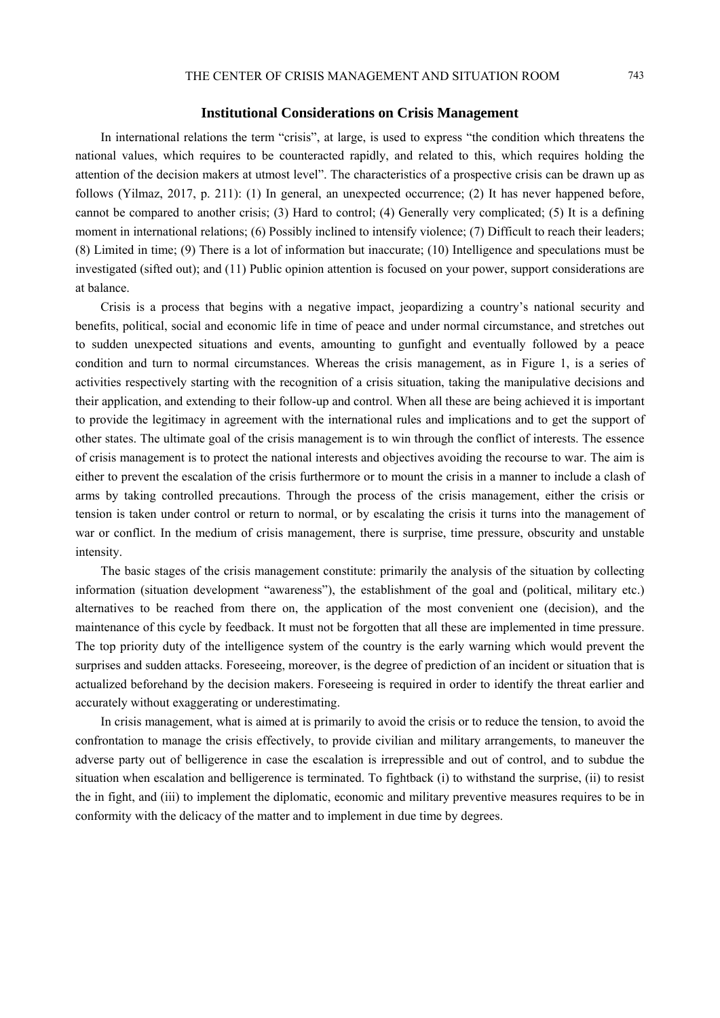## **Institutional Considerations on Crisis Management**

In international relations the term "crisis", at large, is used to express "the condition which threatens the national values, which requires to be counteracted rapidly, and related to this, which requires holding the attention of the decision makers at utmost level". The characteristics of a prospective crisis can be drawn up as follows (Yilmaz, 2017, p. 211): (1) In general, an unexpected occurrence; (2) It has never happened before, cannot be compared to another crisis; (3) Hard to control; (4) Generally very complicated; (5) It is a defining moment in international relations; (6) Possibly inclined to intensify violence; (7) Difficult to reach their leaders; (8) Limited in time; (9) There is a lot of information but inaccurate; (10) Intelligence and speculations must be investigated (sifted out); and (11) Public opinion attention is focused on your power, support considerations are at balance.

Crisis is a process that begins with a negative impact, jeopardizing a country's national security and benefits, political, social and economic life in time of peace and under normal circumstance, and stretches out to sudden unexpected situations and events, amounting to gunfight and eventually followed by a peace condition and turn to normal circumstances. Whereas the crisis management, as in Figure 1, is a series of activities respectively starting with the recognition of a crisis situation, taking the manipulative decisions and their application, and extending to their follow-up and control. When all these are being achieved it is important to provide the legitimacy in agreement with the international rules and implications and to get the support of other states. The ultimate goal of the crisis management is to win through the conflict of interests. The essence of crisis management is to protect the national interests and objectives avoiding the recourse to war. The aim is either to prevent the escalation of the crisis furthermore or to mount the crisis in a manner to include a clash of arms by taking controlled precautions. Through the process of the crisis management, either the crisis or tension is taken under control or return to normal, or by escalating the crisis it turns into the management of war or conflict. In the medium of crisis management, there is surprise, time pressure, obscurity and unstable intensity.

The basic stages of the crisis management constitute: primarily the analysis of the situation by collecting information (situation development "awareness"), the establishment of the goal and (political, military etc.) alternatives to be reached from there on, the application of the most convenient one (decision), and the maintenance of this cycle by feedback. It must not be forgotten that all these are implemented in time pressure. The top priority duty of the intelligence system of the country is the early warning which would prevent the surprises and sudden attacks. Foreseeing, moreover, is the degree of prediction of an incident or situation that is actualized beforehand by the decision makers. Foreseeing is required in order to identify the threat earlier and accurately without exaggerating or underestimating.

In crisis management, what is aimed at is primarily to avoid the crisis or to reduce the tension, to avoid the confrontation to manage the crisis effectively, to provide civilian and military arrangements, to maneuver the adverse party out of belligerence in case the escalation is irrepressible and out of control, and to subdue the situation when escalation and belligerence is terminated. To fightback (i) to withstand the surprise, (ii) to resist the in fight, and (iii) to implement the diplomatic, economic and military preventive measures requires to be in conformity with the delicacy of the matter and to implement in due time by degrees.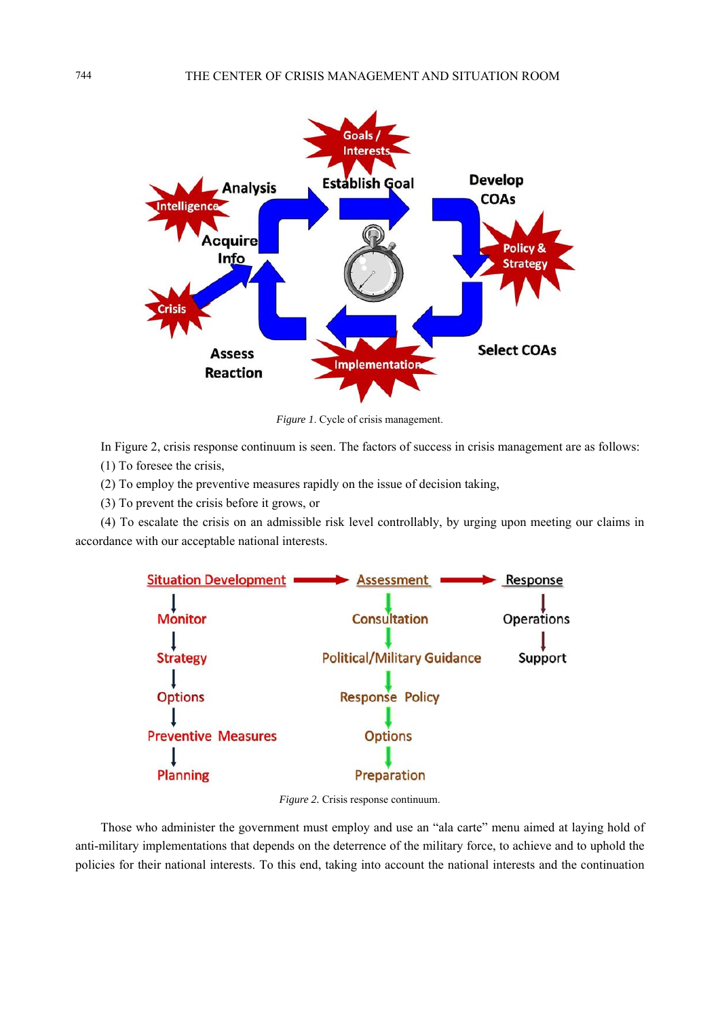

*Figure 1*. Cycle of crisis management.

In Figure 2, crisis response continuum is seen. The factors of success in crisis management are as follows: (1) To foresee the crisis,

(2) To employ the preventive measures rapidly on the issue of decision taking,

(3) To prevent the crisis before it grows, or

(4) To escalate the crisis on an admissible risk level controllably, by urging upon meeting our claims in accordance with our acceptable national interests.



*Figure 2.* Crisis response continuum.

Those who administer the government must employ and use an "ala carte" menu aimed at laying hold of anti-military implementations that depends on the deterrence of the military force, to achieve and to uphold the policies for their national interests. To this end, taking into account the national interests and the continuation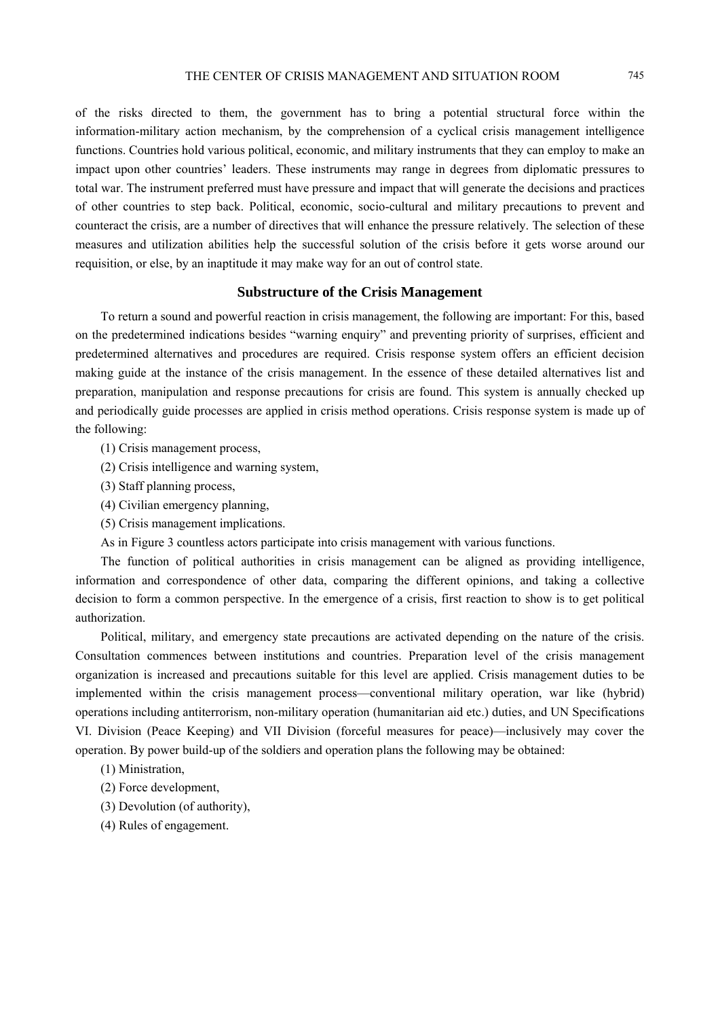of the risks directed to them, the government has to bring a potential structural force within the information-military action mechanism, by the comprehension of a cyclical crisis management intelligence functions. Countries hold various political, economic, and military instruments that they can employ to make an impact upon other countries' leaders. These instruments may range in degrees from diplomatic pressures to total war. The instrument preferred must have pressure and impact that will generate the decisions and practices of other countries to step back. Political, economic, socio-cultural and military precautions to prevent and counteract the crisis, are a number of directives that will enhance the pressure relatively. The selection of these measures and utilization abilities help the successful solution of the crisis before it gets worse around our requisition, or else, by an inaptitude it may make way for an out of control state.

## **Substructure of the Crisis Management**

To return a sound and powerful reaction in crisis management, the following are important: For this, based on the predetermined indications besides "warning enquiry" and preventing priority of surprises, efficient and predetermined alternatives and procedures are required. Crisis response system offers an efficient decision making guide at the instance of the crisis management. In the essence of these detailed alternatives list and preparation, manipulation and response precautions for crisis are found. This system is annually checked up and periodically guide processes are applied in crisis method operations. Crisis response system is made up of the following:

- (1) Crisis management process,
- (2) Crisis intelligence and warning system,
- (3) Staff planning process,
- (4) Civilian emergency planning,
- (5) Crisis management implications.
- As in Figure 3 countless actors participate into crisis management with various functions.

The function of political authorities in crisis management can be aligned as providing intelligence, information and correspondence of other data, comparing the different opinions, and taking a collective decision to form a common perspective. In the emergence of a crisis, first reaction to show is to get political authorization.

Political, military, and emergency state precautions are activated depending on the nature of the crisis. Consultation commences between institutions and countries. Preparation level of the crisis management organization is increased and precautions suitable for this level are applied. Crisis management duties to be implemented within the crisis management process—conventional military operation, war like (hybrid) operations including antiterrorism, non-military operation (humanitarian aid etc.) duties, and UN Specifications VI. Division (Peace Keeping) and VII Division (forceful measures for peace)—inclusively may cover the operation. By power build-up of the soldiers and operation plans the following may be obtained:

- (1) Ministration,
- (2) Force development,
- (3) Devolution (of authority),
- (4) Rules of engagement.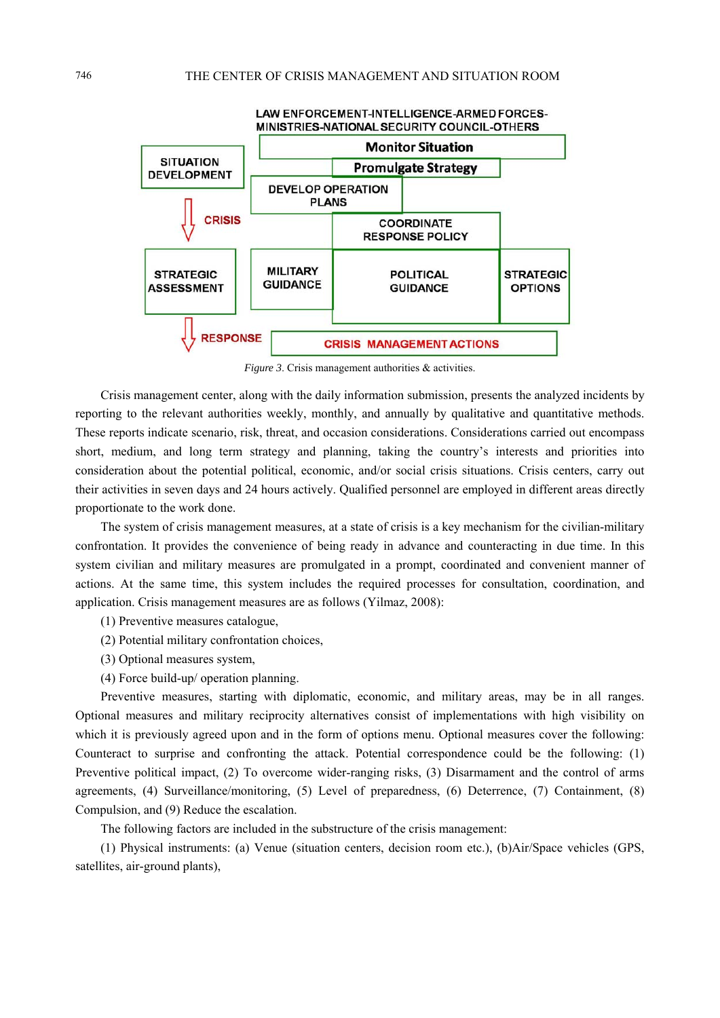

*Figure 3*. Crisis management authorities & activities.

Crisis management center, along with the daily information submission, presents the analyzed incidents by reporting to the relevant authorities weekly, monthly, and annually by qualitative and quantitative methods. These reports indicate scenario, risk, threat, and occasion considerations. Considerations carried out encompass short, medium, and long term strategy and planning, taking the country's interests and priorities into consideration about the potential political, economic, and/or social crisis situations. Crisis centers, carry out their activities in seven days and 24 hours actively. Qualified personnel are employed in different areas directly proportionate to the work done.

The system of crisis management measures, at a state of crisis is a key mechanism for the civilian-military confrontation. It provides the convenience of being ready in advance and counteracting in due time. In this system civilian and military measures are promulgated in a prompt, coordinated and convenient manner of actions. At the same time, this system includes the required processes for consultation, coordination, and application. Crisis management measures are as follows (Yilmaz, 2008):

- (1) Preventive measures catalogue,
- (2) Potential military confrontation choices,
- (3) Optional measures system,
- (4) Force build-up/ operation planning.

Preventive measures, starting with diplomatic, economic, and military areas, may be in all ranges. Optional measures and military reciprocity alternatives consist of implementations with high visibility on which it is previously agreed upon and in the form of options menu. Optional measures cover the following: Counteract to surprise and confronting the attack. Potential correspondence could be the following: (1) Preventive political impact, (2) To overcome wider-ranging risks, (3) Disarmament and the control of arms agreements, (4) Surveillance/monitoring, (5) Level of preparedness, (6) Deterrence, (7) Containment, (8) Compulsion, and (9) Reduce the escalation.

The following factors are included in the substructure of the crisis management:

(1) Physical instruments: (a) Venue (situation centers, decision room etc.), (b)Air/Space vehicles (GPS, satellites, air-ground plants),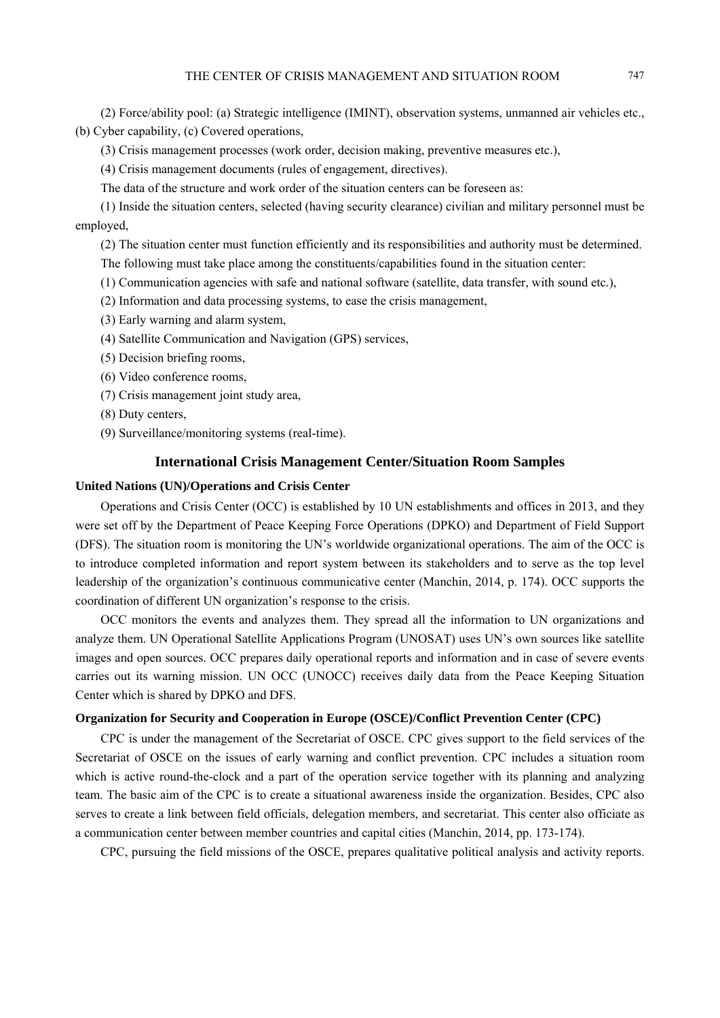(2) Force/ability pool: (a) Strategic intelligence (IMINT), observation systems, unmanned air vehicles etc., (b) Cyber capability, (c) Covered operations,

(3) Crisis management processes (work order, decision making, preventive measures etc.),

(4) Crisis management documents (rules of engagement, directives).

The data of the structure and work order of the situation centers can be foreseen as:

(1) Inside the situation centers, selected (having security clearance) civilian and military personnel must be employed,

(2) The situation center must function efficiently and its responsibilities and authority must be determined.

The following must take place among the constituents/capabilities found in the situation center:

(1) Communication agencies with safe and national software (satellite, data transfer, with sound etc.),

- (2) Information and data processing systems, to ease the crisis management,
- (3) Early warning and alarm system,
- (4) Satellite Communication and Navigation (GPS) services,
- (5) Decision briefing rooms,
- (6) Video conference rooms,
- (7) Crisis management joint study area,
- (8) Duty centers,
- (9) Surveillance/monitoring systems (real-time).

## **International Crisis Management Center/Situation Room Samples**

#### **United Nations (UN)/Operations and Crisis Center**

Operations and Crisis Center (OCC) is established by 10 UN establishments and offices in 2013, and they were set off by the Department of Peace Keeping Force Operations (DPKO) and Department of Field Support (DFS). The situation room is monitoring the UN's worldwide organizational operations. The aim of the OCC is to introduce completed information and report system between its stakeholders and to serve as the top level leadership of the organization's continuous communicative center (Manchin, 2014, p. 174). OCC supports the coordination of different UN organization's response to the crisis.

OCC monitors the events and analyzes them. They spread all the information to UN organizations and analyze them. UN Operational Satellite Applications Program (UNOSAT) uses UN's own sources like satellite images and open sources. OCC prepares daily operational reports and information and in case of severe events carries out its warning mission. UN OCC (UNOCC) receives daily data from the Peace Keeping Situation Center which is shared by DPKO and DFS.

#### **Organization for Security and Cooperation in Europe (OSCE)/Conflict Prevention Center (CPC)**

CPC is under the management of the Secretariat of OSCE. CPC gives support to the field services of the Secretariat of OSCE on the issues of early warning and conflict prevention. CPC includes a situation room which is active round-the-clock and a part of the operation service together with its planning and analyzing team. The basic aim of the CPC is to create a situational awareness inside the organization. Besides, CPC also serves to create a link between field officials, delegation members, and secretariat. This center also officiate as a communication center between member countries and capital cities (Manchin, 2014, pp. 173-174).

CPC, pursuing the field missions of the OSCE, prepares qualitative political analysis and activity reports.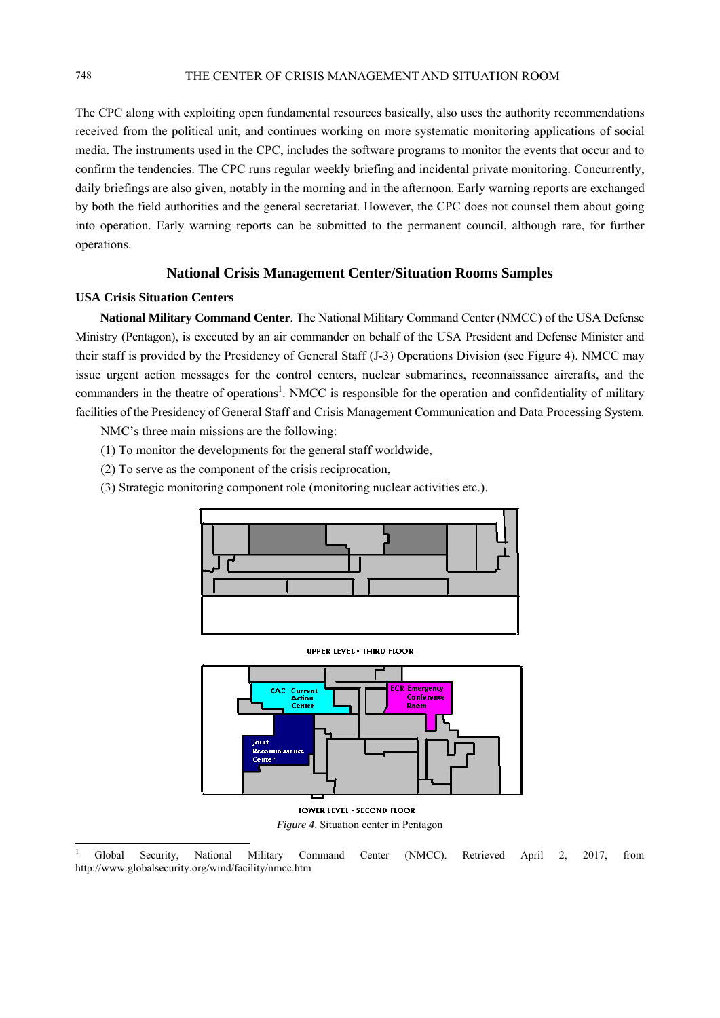The CPC along with exploiting open fundamental resources basically, also uses the authority recommendations received from the political unit, and continues working on more systematic monitoring applications of social media. The instruments used in the CPC, includes the software programs to monitor the events that occur and to confirm the tendencies. The CPC runs regular weekly briefing and incidental private monitoring. Concurrently, daily briefings are also given, notably in the morning and in the afternoon. Early warning reports are exchanged by both the field authorities and the general secretariat. However, the CPC does not counsel them about going into operation. Early warning reports can be submitted to the permanent council, although rare, for further operations.

# **National Crisis Management Center/Situation Rooms Samples**

# **USA Crisis Situation Centers**

**National Military Command Center**. The National Military Command Center (NMCC) of the USA Defense Ministry (Pentagon), is executed by an air commander on behalf of the USA President and Defense Minister and their staff is provided by the Presidency of General Staff (J-3) Operations Division (see Figure 4). NMCC may issue urgent action messages for the control centers, nuclear submarines, reconnaissance aircrafts, and the commanders in the theatre of operations<sup>1</sup>. NMCC is responsible for the operation and confidentiality of military facilities of the Presidency of General Staff and Crisis Management Communication and Data Processing System.

NMC's three main missions are the following:

- (1) To monitor the developments for the general staff worldwide,
- (2) To serve as the component of the crisis reciprocation,
- (3) Strategic monitoring component role (monitoring nuclear activities etc.).



*Figure 4*. Situation center in Pentagon

 $\overline{a}$ <sup>1</sup> Global Security, National Military Command Center (NMCC). Retrieved April 2, 2017, from http://www.globalsecurity.org/wmd/facility/nmcc.htm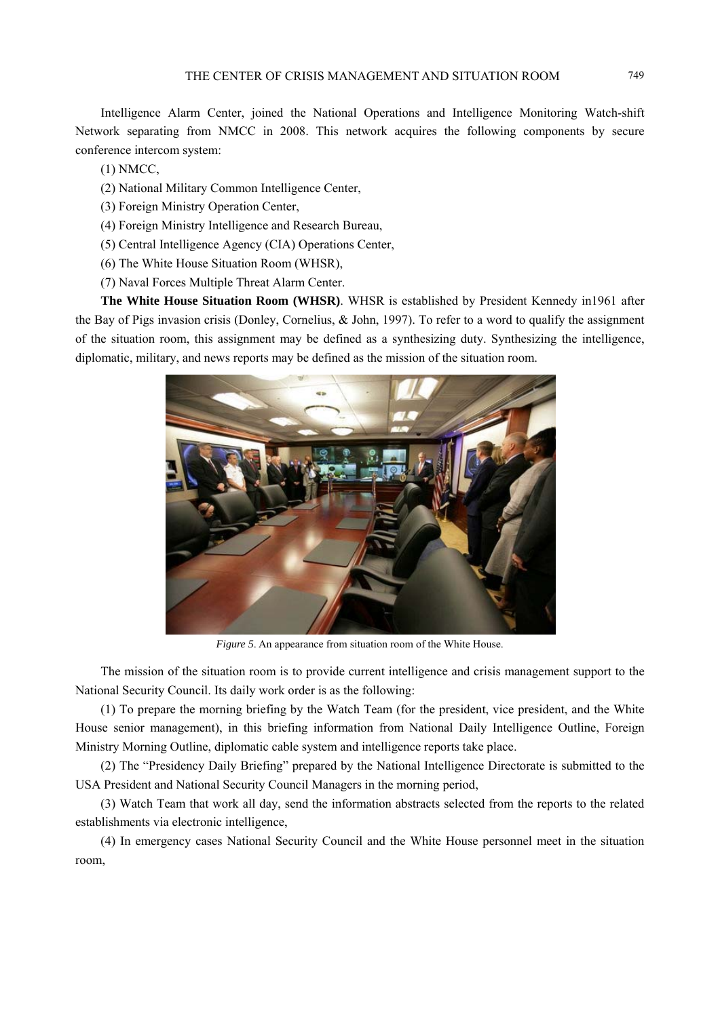Intelligence Alarm Center, joined the National Operations and Intelligence Monitoring Watch-shift Network separating from NMCC in 2008. This network acquires the following components by secure conference intercom system:

(1) NMCC,

- (2) National Military Common Intelligence Center,
- (3) Foreign Ministry Operation Center,
- (4) Foreign Ministry Intelligence and Research Bureau,
- (5) Central Intelligence Agency (CIA) Operations Center,
- (6) The White House Situation Room (WHSR),
- (7) Naval Forces Multiple Threat Alarm Center.

**The White House Situation Room (WHSR)**. WHSR is established by President Kennedy in1961 after the Bay of Pigs invasion crisis (Donley, Cornelius, & John, 1997). To refer to a word to qualify the assignment of the situation room, this assignment may be defined as a synthesizing duty. Synthesizing the intelligence, diplomatic, military, and news reports may be defined as the mission of the situation room.



*Figure 5*. An appearance from situation room of the White House.

The mission of the situation room is to provide current intelligence and crisis management support to the National Security Council. Its daily work order is as the following:

(1) To prepare the morning briefing by the Watch Team (for the president, vice president, and the White House senior management), in this briefing information from National Daily Intelligence Outline, Foreign Ministry Morning Outline, diplomatic cable system and intelligence reports take place.

(2) The "Presidency Daily Briefing" prepared by the National Intelligence Directorate is submitted to the USA President and National Security Council Managers in the morning period,

(3) Watch Team that work all day, send the information abstracts selected from the reports to the related establishments via electronic intelligence,

(4) In emergency cases National Security Council and the White House personnel meet in the situation room,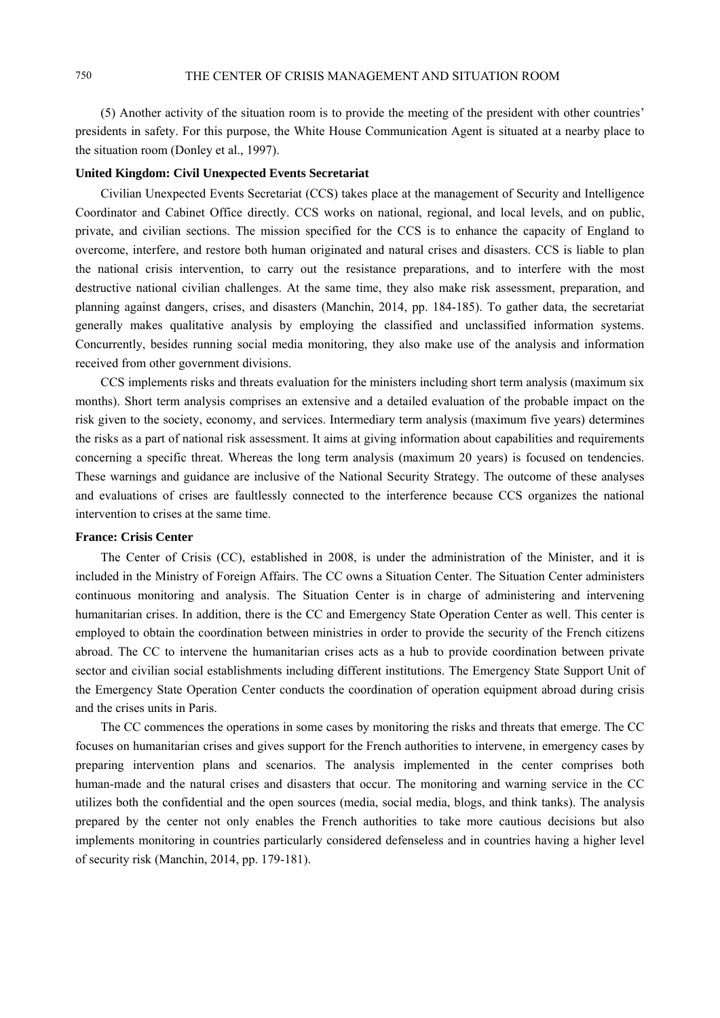(5) Another activity of the situation room is to provide the meeting of the president with other countries' presidents in safety. For this purpose, the White House Communication Agent is situated at a nearby place to the situation room (Donley et al., 1997).

#### **United Kingdom: Civil Unexpected Events Secretariat**

Civilian Unexpected Events Secretariat (CCS) takes place at the management of Security and Intelligence Coordinator and Cabinet Office directly. CCS works on national, regional, and local levels, and on public, private, and civilian sections. The mission specified for the CCS is to enhance the capacity of England to overcome, interfere, and restore both human originated and natural crises and disasters. CCS is liable to plan the national crisis intervention, to carry out the resistance preparations, and to interfere with the most destructive national civilian challenges. At the same time, they also make risk assessment, preparation, and planning against dangers, crises, and disasters (Manchin, 2014, pp. 184-185). To gather data, the secretariat generally makes qualitative analysis by employing the classified and unclassified information systems. Concurrently, besides running social media monitoring, they also make use of the analysis and information received from other government divisions.

CCS implements risks and threats evaluation for the ministers including short term analysis (maximum six months). Short term analysis comprises an extensive and a detailed evaluation of the probable impact on the risk given to the society, economy, and services. Intermediary term analysis (maximum five years) determines the risks as a part of national risk assessment. It aims at giving information about capabilities and requirements concerning a specific threat. Whereas the long term analysis (maximum 20 years) is focused on tendencies. These warnings and guidance are inclusive of the National Security Strategy. The outcome of these analyses and evaluations of crises are faultlessly connected to the interference because CCS organizes the national intervention to crises at the same time.

# **France: Crisis Center**

The Center of Crisis (CC), established in 2008, is under the administration of the Minister, and it is included in the Ministry of Foreign Affairs. The CC owns a Situation Center. The Situation Center administers continuous monitoring and analysis. The Situation Center is in charge of administering and intervening humanitarian crises. In addition, there is the CC and Emergency State Operation Center as well. This center is employed to obtain the coordination between ministries in order to provide the security of the French citizens abroad. The CC to intervene the humanitarian crises acts as a hub to provide coordination between private sector and civilian social establishments including different institutions. The Emergency State Support Unit of the Emergency State Operation Center conducts the coordination of operation equipment abroad during crisis and the crises units in Paris.

The CC commences the operations in some cases by monitoring the risks and threats that emerge. The CC focuses on humanitarian crises and gives support for the French authorities to intervene, in emergency cases by preparing intervention plans and scenarios. The analysis implemented in the center comprises both human-made and the natural crises and disasters that occur. The monitoring and warning service in the CC utilizes both the confidential and the open sources (media, social media, blogs, and think tanks). The analysis prepared by the center not only enables the French authorities to take more cautious decisions but also implements monitoring in countries particularly considered defenseless and in countries having a higher level of security risk (Manchin, 2014, pp. 179-181).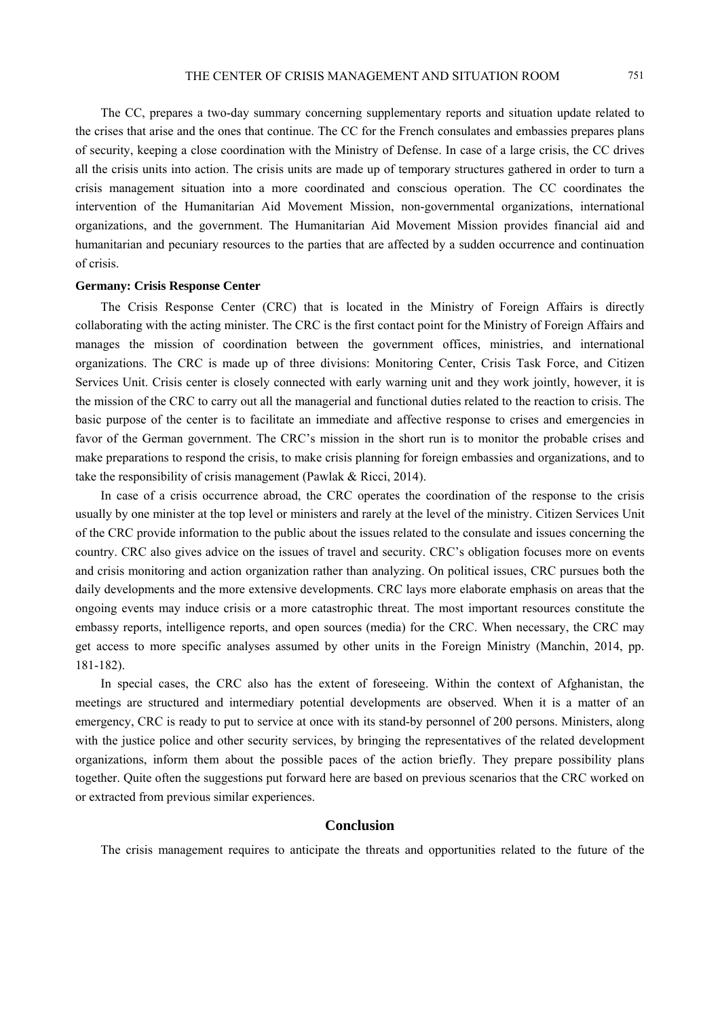The CC, prepares a two-day summary concerning supplementary reports and situation update related to the crises that arise and the ones that continue. The CC for the French consulates and embassies prepares plans of security, keeping a close coordination with the Ministry of Defense. In case of a large crisis, the CC drives all the crisis units into action. The crisis units are made up of temporary structures gathered in order to turn a crisis management situation into a more coordinated and conscious operation. The CC coordinates the intervention of the Humanitarian Aid Movement Mission, non-governmental organizations, international organizations, and the government. The Humanitarian Aid Movement Mission provides financial aid and humanitarian and pecuniary resources to the parties that are affected by a sudden occurrence and continuation of crisis.

## **Germany: Crisis Response Center**

The Crisis Response Center (CRC) that is located in the Ministry of Foreign Affairs is directly collaborating with the acting minister. The CRC is the first contact point for the Ministry of Foreign Affairs and manages the mission of coordination between the government offices, ministries, and international organizations. The CRC is made up of three divisions: Monitoring Center, Crisis Task Force, and Citizen Services Unit. Crisis center is closely connected with early warning unit and they work jointly, however, it is the mission of the CRC to carry out all the managerial and functional duties related to the reaction to crisis. The basic purpose of the center is to facilitate an immediate and affective response to crises and emergencies in favor of the German government. The CRC's mission in the short run is to monitor the probable crises and make preparations to respond the crisis, to make crisis planning for foreign embassies and organizations, and to take the responsibility of crisis management (Pawlak & Ricci, 2014).

In case of a crisis occurrence abroad, the CRC operates the coordination of the response to the crisis usually by one minister at the top level or ministers and rarely at the level of the ministry. Citizen Services Unit of the CRC provide information to the public about the issues related to the consulate and issues concerning the country. CRC also gives advice on the issues of travel and security. CRC's obligation focuses more on events and crisis monitoring and action organization rather than analyzing. On political issues, CRC pursues both the daily developments and the more extensive developments. CRC lays more elaborate emphasis on areas that the ongoing events may induce crisis or a more catastrophic threat. The most important resources constitute the embassy reports, intelligence reports, and open sources (media) for the CRC. When necessary, the CRC may get access to more specific analyses assumed by other units in the Foreign Ministry (Manchin, 2014, pp. 181-182).

In special cases, the CRC also has the extent of foreseeing. Within the context of Afghanistan, the meetings are structured and intermediary potential developments are observed. When it is a matter of an emergency, CRC is ready to put to service at once with its stand-by personnel of 200 persons. Ministers, along with the justice police and other security services, by bringing the representatives of the related development organizations, inform them about the possible paces of the action briefly. They prepare possibility plans together. Quite often the suggestions put forward here are based on previous scenarios that the CRC worked on or extracted from previous similar experiences.

# **Conclusion**

The crisis management requires to anticipate the threats and opportunities related to the future of the